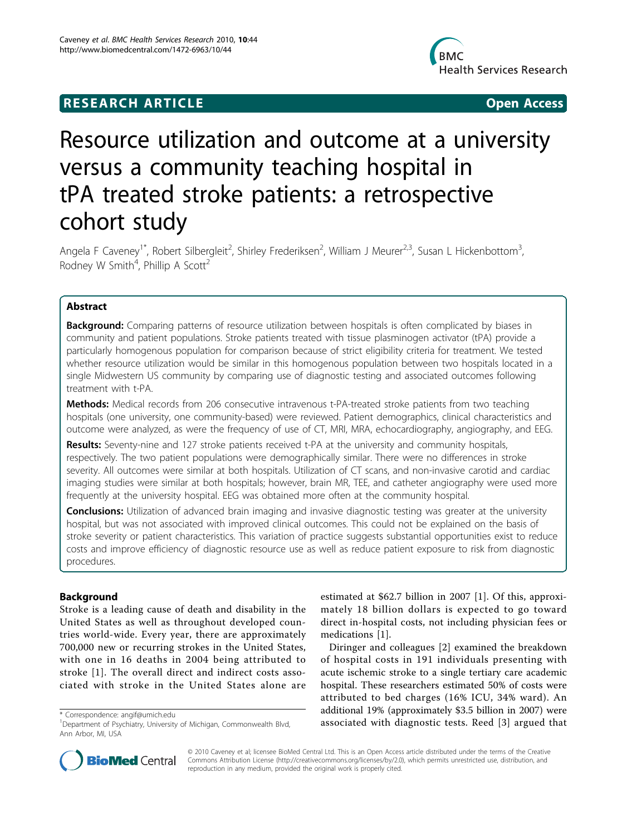# **RESEARCH ARTICLE Example 2018 CONSIDERING ACCESS**



# Resource utilization and outcome at a university versus a community teaching hospital in tPA treated stroke patients: a retrospective cohort study

Angela F Caveney<sup>1\*</sup>, Robert Silbergleit<sup>2</sup>, Shirley Frederiksen<sup>2</sup>, William J Meurer<sup>2,3</sup>, Susan L Hickenbottom<sup>3</sup> , Rodney W Smith<sup>4</sup>, Phillip A Scott<sup>2</sup>

# Abstract

**Background:** Comparing patterns of resource utilization between hospitals is often complicated by biases in community and patient populations. Stroke patients treated with tissue plasminogen activator (tPA) provide a particularly homogenous population for comparison because of strict eligibility criteria for treatment. We tested whether resource utilization would be similar in this homogenous population between two hospitals located in a single Midwestern US community by comparing use of diagnostic testing and associated outcomes following treatment with t-PA.

Methods: Medical records from 206 consecutive intravenous t-PA-treated stroke patients from two teaching hospitals (one university, one community-based) were reviewed. Patient demographics, clinical characteristics and outcome were analyzed, as were the frequency of use of CT, MRI, MRA, echocardiography, angiography, and EEG.

Results: Seventy-nine and 127 stroke patients received t-PA at the university and community hospitals, respectively. The two patient populations were demographically similar. There were no differences in stroke severity. All outcomes were similar at both hospitals. Utilization of CT scans, and non-invasive carotid and cardiac imaging studies were similar at both hospitals; however, brain MR, TEE, and catheter angiography were used more frequently at the university hospital. EEG was obtained more often at the community hospital.

**Conclusions:** Utilization of advanced brain imaging and invasive diagnostic testing was greater at the university hospital, but was not associated with improved clinical outcomes. This could not be explained on the basis of stroke severity or patient characteristics. This variation of practice suggests substantial opportunities exist to reduce costs and improve efficiency of diagnostic resource use as well as reduce patient exposure to risk from diagnostic procedures.

# Background

Stroke is a leading cause of death and disability in the United States as well as throughout developed countries world-wide. Every year, there are approximately 700,000 new or recurring strokes in the United States, with one in 16 deaths in 2004 being attributed to stroke [\[1\]](#page-4-0). The overall direct and indirect costs associated with stroke in the United States alone are

estimated at \$62.7 billion in 2007 [[1](#page-4-0)]. Of this, approximately 18 billion dollars is expected to go toward direct in-hospital costs, not including physician fees or medications [\[1](#page-4-0)].

Diringer and colleagues [[2](#page-4-0)] examined the breakdown of hospital costs in 191 individuals presenting with acute ischemic stroke to a single tertiary care academic hospital. These researchers estimated 50% of costs were attributed to bed charges (16% ICU, 34% ward). An additional 19% (approximately \$3.5 billion in 2007) were addutional 1970 (approximately 35.5 binon in 2007) were<br>Department of Psychiatry, University of Michigan, Commonwealth Blvd, associated with diagnostic tests. Reed [[3\]](#page-4-0) argued that \*



© 2010 Caveney et al; licensee BioMed Central Ltd. This is an Open Access article distributed under the terms of the Creative Commons Attribution License [\(http://creativecommons.org/licenses/by/2.0](http://creativecommons.org/licenses/by/2.0)), which permits unrestricted use, distribution, and reproduction in any medium, provided the original work is properly cited.

<sup>&</sup>lt;sup>1</sup>Department of Psychiatry, University of Michigan, Commonwealth Blvd, Ann Arbor, MI, USA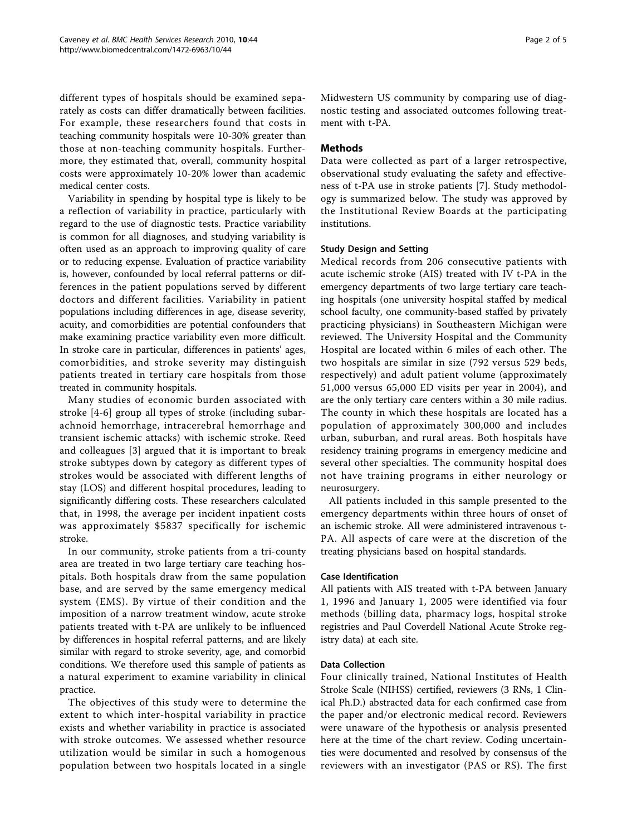different types of hospitals should be examined separately as costs can differ dramatically between facilities. For example, these researchers found that costs in teaching community hospitals were 10-30% greater than those at non-teaching community hospitals. Furthermore, they estimated that, overall, community hospital costs were approximately 10-20% lower than academic medical center costs.

Variability in spending by hospital type is likely to be a reflection of variability in practice, particularly with regard to the use of diagnostic tests. Practice variability is common for all diagnoses, and studying variability is often used as an approach to improving quality of care or to reducing expense. Evaluation of practice variability is, however, confounded by local referral patterns or differences in the patient populations served by different doctors and different facilities. Variability in patient populations including differences in age, disease severity, acuity, and comorbidities are potential confounders that make examining practice variability even more difficult. In stroke care in particular, differences in patients' ages, comorbidities, and stroke severity may distinguish patients treated in tertiary care hospitals from those treated in community hospitals.

Many studies of economic burden associated with stroke [\[4](#page-4-0)-[6](#page-4-0)] group all types of stroke (including subarachnoid hemorrhage, intracerebral hemorrhage and transient ischemic attacks) with ischemic stroke. Reed and colleagues [[3\]](#page-4-0) argued that it is important to break stroke subtypes down by category as different types of strokes would be associated with different lengths of stay (LOS) and different hospital procedures, leading to significantly differing costs. These researchers calculated that, in 1998, the average per incident inpatient costs was approximately \$5837 specifically for ischemic stroke.

In our community, stroke patients from a tri-county area are treated in two large tertiary care teaching hospitals. Both hospitals draw from the same population base, and are served by the same emergency medical system (EMS). By virtue of their condition and the imposition of a narrow treatment window, acute stroke patients treated with t-PA are unlikely to be influenced by differences in hospital referral patterns, and are likely similar with regard to stroke severity, age, and comorbid conditions. We therefore used this sample of patients as a natural experiment to examine variability in clinical practice.

The objectives of this study were to determine the extent to which inter-hospital variability in practice exists and whether variability in practice is associated with stroke outcomes. We assessed whether resource utilization would be similar in such a homogenous population between two hospitals located in a single Midwestern US community by comparing use of diagnostic testing and associated outcomes following treatment with t-PA.

# Methods

Data were collected as part of a larger retrospective, observational study evaluating the safety and effectiveness of t-PA use in stroke patients [\[7](#page-4-0)]. Study methodology is summarized below. The study was approved by the Institutional Review Boards at the participating institutions.

# Study Design and Setting

Medical records from 206 consecutive patients with acute ischemic stroke (AIS) treated with IV t-PA in the emergency departments of two large tertiary care teaching hospitals (one university hospital staffed by medical school faculty, one community-based staffed by privately practicing physicians) in Southeastern Michigan were reviewed. The University Hospital and the Community Hospital are located within 6 miles of each other. The two hospitals are similar in size (792 versus 529 beds, respectively) and adult patient volume (approximately 51,000 versus 65,000 ED visits per year in 2004), and are the only tertiary care centers within a 30 mile radius. The county in which these hospitals are located has a population of approximately 300,000 and includes urban, suburban, and rural areas. Both hospitals have residency training programs in emergency medicine and several other specialties. The community hospital does not have training programs in either neurology or neurosurgery.

All patients included in this sample presented to the emergency departments within three hours of onset of an ischemic stroke. All were administered intravenous t-PA. All aspects of care were at the discretion of the treating physicians based on hospital standards.

# Case Identification

All patients with AIS treated with t-PA between January 1, 1996 and January 1, 2005 were identified via four methods (billing data, pharmacy logs, hospital stroke registries and Paul Coverdell National Acute Stroke registry data) at each site.

#### Data Collection

Four clinically trained, National Institutes of Health Stroke Scale (NIHSS) certified, reviewers (3 RNs, 1 Clinical Ph.D.) abstracted data for each confirmed case from the paper and/or electronic medical record. Reviewers were unaware of the hypothesis or analysis presented here at the time of the chart review. Coding uncertainties were documented and resolved by consensus of the reviewers with an investigator (PAS or RS). The first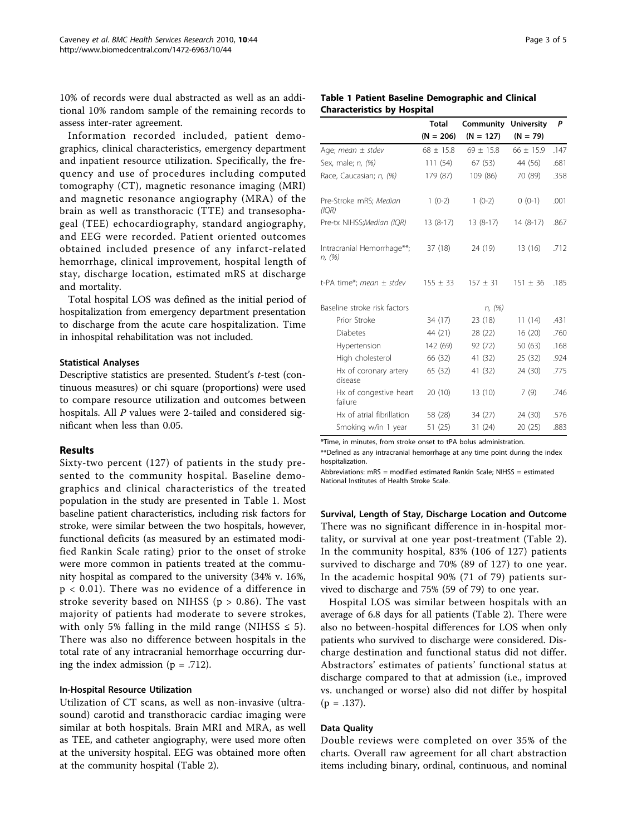10% of records were dual abstracted as well as an additional 10% random sample of the remaining records to assess inter-rater agreement.

Information recorded included, patient demographics, clinical characteristics, emergency department and inpatient resource utilization. Specifically, the frequency and use of procedures including computed tomography (CT), magnetic resonance imaging (MRI) and magnetic resonance angiography (MRA) of the brain as well as transthoracic (TTE) and transesophageal (TEE) echocardiography, standard angiography, and EEG were recorded. Patient oriented outcomes obtained included presence of any infarct-related hemorrhage, clinical improvement, hospital length of stay, discharge location, estimated mRS at discharge and mortality.

Total hospital LOS was defined as the initial period of hospitalization from emergency department presentation to discharge from the acute care hospitalization. Time in inhospital rehabilitation was not included.

#### Statistical Analyses

Descriptive statistics are presented. Student's t-test (continuous measures) or chi square (proportions) were used to compare resource utilization and outcomes between hospitals. All P values were 2-tailed and considered significant when less than 0.05.

#### Results

Sixty-two percent (127) of patients in the study presented to the community hospital. Baseline demographics and clinical characteristics of the treated population in the study are presented in Table 1. Most baseline patient characteristics, including risk factors for stroke, were similar between the two hospitals, however, functional deficits (as measured by an estimated modified Rankin Scale rating) prior to the onset of stroke were more common in patients treated at the community hospital as compared to the university (34% v. 16%, p < 0.01). There was no evidence of a difference in stroke severity based on NIHSS ( $p > 0.86$ ). The vast majority of patients had moderate to severe strokes, with only 5% falling in the mild range (NIHSS  $\leq$  5). There was also no difference between hospitals in the total rate of any intracranial hemorrhage occurring during the index admission ( $p = .712$ ).

#### In-Hospital Resource Utilization

Utilization of CT scans, as well as non-invasive (ultrasound) carotid and transthoracic cardiac imaging were similar at both hospitals. Brain MRI and MRA, as well as TEE, and catheter angiography, were used more often at the university hospital. EEG was obtained more often at the community hospital (Table [2\)](#page-3-0).

### Table 1 Patient Baseline Demographic and Clinical Characteristics by Hospital

|                                      | Total<br>$(N = 206)$ | Community<br>$(N = 127)$ | <b>University</b><br>$(N = 79)$ | P    |
|--------------------------------------|----------------------|--------------------------|---------------------------------|------|
|                                      |                      |                          |                                 |      |
| Age; mean $\pm$ stdev                | $68 \pm 15.8$        | $69 \pm 15.8$            | $66 \pm 15.9$                   | .147 |
| Sex, male; n, (%)                    | 111(54)              | 67(53)                   | 44 (56)                         | .681 |
| Race, Caucasian; n, (%)              | 179 (87)             | 109 (86)                 | 70 (89)                         | .358 |
| Pre-Stroke mRS; Median<br>(IQR)      | $1(0-2)$             | $1(0-2)$                 | $0(0-1)$                        | .001 |
| Pre-tx NIHSS;Median (IQR)            | $13(8-17)$           | $13(8-17)$               | $14(8-17)$                      | .867 |
| Intracranial Hemorrhage**;<br>n, (%) | 37(18)               | 24 (19)                  | 13(16)                          | .712 |
| t-PA time*; mean $\pm$ stdev         | $155 \pm 33$         | $157 \pm 31$             | $151 \pm 36$                    | .185 |
| Baseline stroke risk factors         |                      | n, (%)                   |                                 |      |
| Prior Stroke                         | 34 (17)              | 23 (18)                  | 11(14)                          | .431 |
| <b>Diabetes</b>                      | 44 (21)              | 28 (22)                  | 16(20)                          | .760 |
| Hypertension                         | 142 (69)             | 92 (72)                  | 50 (63)                         | .168 |
| High cholesterol                     | 66 (32)              | 41 (32)                  | 25(32)                          | .924 |
| Hx of coronary artery<br>disease     | 65 (32)              | 41 (32)                  | 24 (30)                         | .775 |
| Hx of congestive heart<br>failure    | 20(10)               | 13 (10)                  | 7(9)                            | .746 |
| Hx of atrial fibrillation            | 58 (28)              | 34 (27)                  | 24 (30)                         | .576 |
| Smoking w/in 1 year                  | 51 (25)              | 31(24)                   | 20 (25)                         | .883 |

\*Time, in minutes, from stroke onset to tPA bolus administration.

\*\*Defined as any intracranial hemorrhage at any time point during the index hospitalization.

Abbreviations:  $mRS =$  modified estimated Rankin Scale; NIHSS = estimated National Institutes of Health Stroke Scale.

Survival, Length of Stay, Discharge Location and Outcome There was no significant difference in in-hospital mortality, or survival at one year post-treatment (Table [2](#page-3-0)). In the community hospital, 83% (106 of 127) patients survived to discharge and 70% (89 of 127) to one year. In the academic hospital 90% (71 of 79) patients survived to discharge and 75% (59 of 79) to one year.

Hospital LOS was similar between hospitals with an average of 6.8 days for all patients (Table [2](#page-3-0)). There were also no between-hospital differences for LOS when only patients who survived to discharge were considered. Discharge destination and functional status did not differ. Abstractors' estimates of patients' functional status at discharge compared to that at admission (i.e., improved vs. unchanged or worse) also did not differ by hospital  $(p = .137)$ .

#### Data Quality

Double reviews were completed on over 35% of the charts. Overall raw agreement for all chart abstraction items including binary, ordinal, continuous, and nominal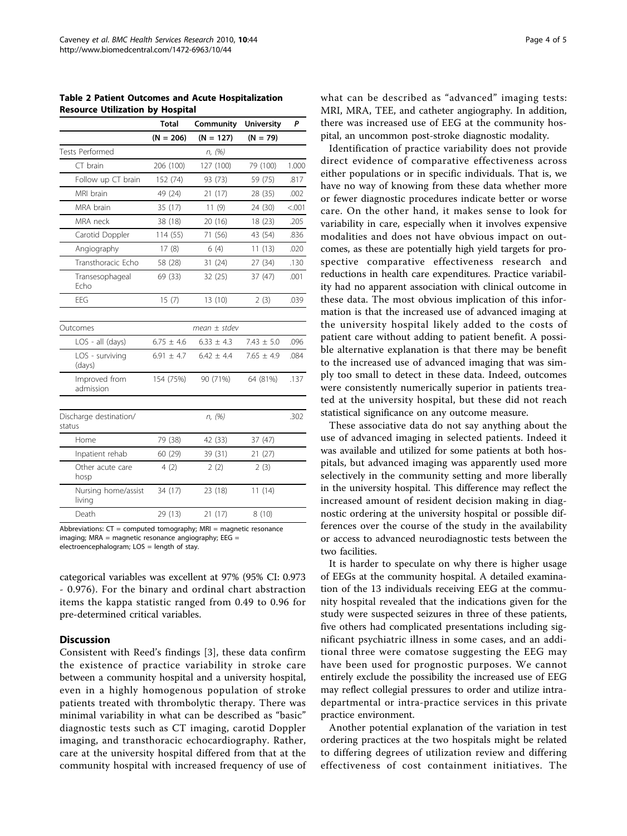<span id="page-3-0"></span>Table 2 Patient Outcomes and Acute Hospitalization Resource Utilization by Hospital

|                                  | <b>Total</b>   | Community        | <b>University</b> | P      |
|----------------------------------|----------------|------------------|-------------------|--------|
|                                  | $(N = 206)$    | $(N = 127)$      | $(N = 79)$        |        |
| <b>Tests Performed</b>           |                | n, (%)           |                   |        |
| CT brain                         | 206 (100)      | 127 (100)        | 79 (100)          | 1.000  |
| Follow up CT brain               | 152 (74)       | 93 (73)          | 59 (75)           | .817   |
| MRI brain                        | 49 (24)        | 21 (17)          | 28 (35)           | .002   |
| MRA brain                        | 35 (17)        | 11(9)            | 24 (30)           | < .001 |
| MRA neck                         | 38 (18)        | 20 (16)          | 18(23)            | .205   |
| Carotid Doppler                  | 114 (55)       | 71 (56)          | 43 (54)           | .836   |
| Angiography                      | 17(8)          | 6(4)             | 11(13)            | .020   |
| Transthoracic Echo               | 58 (28)        | 31 (24)          | 27 (34)           | .130   |
| Transesophageal<br>Fcho          | 69 (33)        | 32 (25)          | 37(47)            | .001   |
| EEG                              | 15(7)          | 13 (10)          | 2(3)              | .039   |
|                                  |                |                  |                   |        |
| Outcomes                         |                | $mean \pm stdev$ |                   |        |
| LOS - all (days)                 | $6.75 \pm 4.6$ | $6.33 \pm 4.3$   | $7.43 \pm 5.0$    | .096   |
| LOS - surviving<br>(days)        | $6.91 + 4.7$   | $6.42 + 4.4$     | $7.65 + 4.9$      | .084   |
| Improved from<br>admission       | 154 (75%)      | 90 (71%)         | 64 (81%)          | .137   |
| Discharge destination/<br>status |                | n, (%)           |                   | .302   |
| Home                             | 79 (38)        | 42 (33)          | 37(47)            |        |
| Inpatient rehab                  | 60 (29)        | 39 (31)          | 21(27)            |        |
| Other acute care<br>hosp         | 4(2)           | 2(2)             | 2(3)              |        |
| Nursing home/assist<br>living    | 34 (17)        | 23 (18)          | 11(14)            |        |
| Death                            | 29 (13)        | 21 (17)          | 8(10)             |        |

Abbreviations:  $CT = computed tomography$ ;  $MRI = magnetic resonance$ imaging; MRA = magnetic resonance angiography;  $EEG =$ electroencephalogram; LOS = length of stay.

categorical variables was excellent at 97% (95% CI: 0.973 - 0.976). For the binary and ordinal chart abstraction items the kappa statistic ranged from 0.49 to 0.96 for pre-determined critical variables.

## **Discussion**

Consistent with Reed's findings [[3](#page-4-0)], these data confirm the existence of practice variability in stroke care between a community hospital and a university hospital, even in a highly homogenous population of stroke patients treated with thrombolytic therapy. There was minimal variability in what can be described as "basic" diagnostic tests such as CT imaging, carotid Doppler imaging, and transthoracic echocardiography. Rather, care at the university hospital differed from that at the community hospital with increased frequency of use of what can be described as "advanced" imaging tests: MRI, MRA, TEE, and catheter angiography. In addition, there was increased use of EEG at the community hospital, an uncommon post-stroke diagnostic modality.

Identification of practice variability does not provide direct evidence of comparative effectiveness across either populations or in specific individuals. That is, we have no way of knowing from these data whether more or fewer diagnostic procedures indicate better or worse care. On the other hand, it makes sense to look for variability in care, especially when it involves expensive modalities and does not have obvious impact on outcomes, as these are potentially high yield targets for prospective comparative effectiveness research and reductions in health care expenditures. Practice variability had no apparent association with clinical outcome in these data. The most obvious implication of this information is that the increased use of advanced imaging at the university hospital likely added to the costs of patient care without adding to patient benefit. A possible alternative explanation is that there may be benefit to the increased use of advanced imaging that was simply too small to detect in these data. Indeed, outcomes were consistently numerically superior in patients treated at the university hospital, but these did not reach statistical significance on any outcome measure.

These associative data do not say anything about the use of advanced imaging in selected patients. Indeed it was available and utilized for some patients at both hospitals, but advanced imaging was apparently used more selectively in the community setting and more liberally in the university hospital. This difference may reflect the increased amount of resident decision making in diagnostic ordering at the university hospital or possible differences over the course of the study in the availability or access to advanced neurodiagnostic tests between the two facilities.

It is harder to speculate on why there is higher usage of EEGs at the community hospital. A detailed examination of the 13 individuals receiving EEG at the community hospital revealed that the indications given for the study were suspected seizures in three of these patients, five others had complicated presentations including significant psychiatric illness in some cases, and an additional three were comatose suggesting the EEG may have been used for prognostic purposes. We cannot entirely exclude the possibility the increased use of EEG may reflect collegial pressures to order and utilize intradepartmental or intra-practice services in this private practice environment.

Another potential explanation of the variation in test ordering practices at the two hospitals might be related to differing degrees of utilization review and differing effectiveness of cost containment initiatives. The